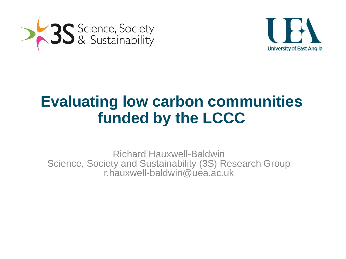



# **Evaluating low carbon communities funded by the LCCC**

Richard Hauxwell-Baldwin Science, Society and Sustainability (3S) Research Group r.hauxwell-baldwin@uea.ac.uk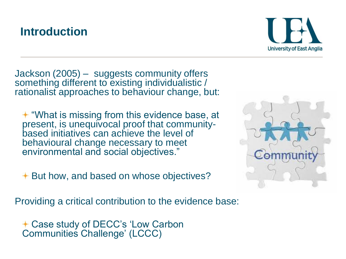### **Introduction**



Jackson (2005) – suggests community offers something different to existing individualistic / rationalist approaches to behaviour change, but:

 $+$  **"What is missing from this evidence base, at** present, is unequivocal proof that communitybased initiatives can achieve the level of behavioural change necessary to meet environmental and social objectives."

 $+$  **But how, and based on whose objectives?** 

Providing a critical contribution to the evidence base:

Case study of DECC's 'Low Carbon Communities Challenge' (LCCC)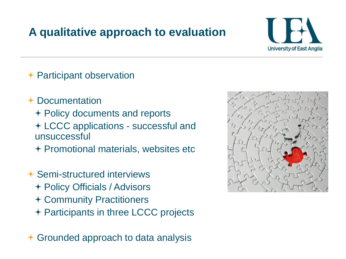### **A qualitative approach to evaluation**



### **← Participant observation**

- Documentation
	- Policy documents and reports
	- LCCC applications successful and unsuccessful
	- $+$  Promotional materials, websites etc
- Semi-structured interviews
	- Policy Officials / Advisors
	- Community Practitioners
	- + Participants in three LCCC projects

Grounded approach to data analysis

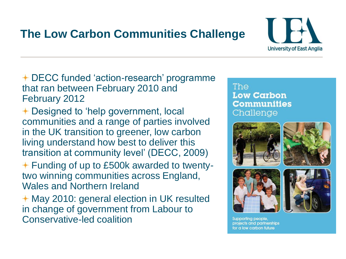## **The Low Carbon Communities Challenge**



DECC funded 'action-research' programme that ran between February 2010 and February 2012

- **← Designed to 'help government, local** communities and a range of parties involved in the UK transition to greener, low carbon living understand how best to deliver this transition at community level' (DECC, 2009)
- $+$  **Funding of up to £500k awarded to twenty**two winning communities across England, Wales and Northern Ireland

**← May 2010: general election in UK resulted** in change of government from Labour to Conservative-led coalition

### The **Low Carbon Communities** Challenge









Supporting people, projects and partnerships for a low carbon future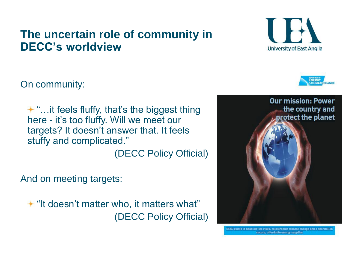### **The uncertain role of community in DECC's worldview**

On community:

 $+$  "... it feels fluffy, that's the biggest thing here - it's too fluffy. Will we meet our targets? It doesn't answer that. It feels stuffy and complicated."

(DECC Policy Official)

And on meeting targets:

"It doesn't matter who, it matters what" (DECC Policy Official)







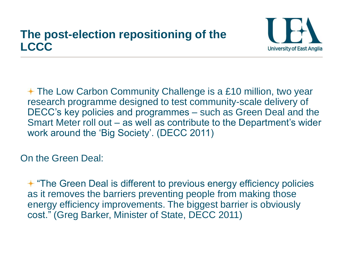### **The post-election repositioning of the LCCC**



 $+$  **The Low Carbon Community Challenge is a £10 million, two year** research programme designed to test community-scale delivery of DECC's key policies and programmes – such as Green Deal and the Smart Meter roll out – as well as contribute to the Department's wider work around the 'Big Society'. (DECC 2011)

On the Green Deal:

 $+$  **"The Green Deal is different to previous energy efficiency policies** as it removes the barriers preventing people from making those energy efficiency improvements. The biggest barrier is obviously cost." (Greg Barker, Minister of State, DECC 2011)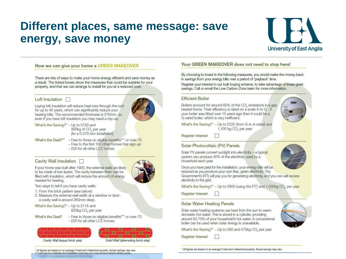### Different places, same message: save energy, save money



#### How we can give your home a GREEN MAKEOVER

There are lots of ways to make your home energy efficient and save money as a result. The ticked boxes show the measures that could be suitable for your property, and that we can arrange to install for you at a reduced cost.

#### Loft Insulation  $\Box$

Laving loft insulation will reduce heat loss through the roof for up to 40 years, which can significantly reduce your heating bills. The recommended thickness is 270mm, so even if you have loft insulation you may need a top-up.

- What's the Saving?\* Up to £150 and 800kg of CO, per year
- ffor a 0-270 mm installation) What's the Deal?\*\* - Free to those on eligible benefits\*\*\* or over-70
	- Free to the first 100 other homes that sign up
		- £50 for all other LCZ homes

#### Cavity Wall Insulation □



If your home was built after 1920, the external walls are likely to be made of two layers. The cavity between them can be filled with insulation, which will reduce the amount of energy needed for heating.

Two ways to tell if you have cavity walls:

- 1. From the brick pattern (see below):
- 2. Measure the external wall width at a window or door a cavity wall is around 260mm deep.
- What's the Saving?\* Up to £115 and 620kg CO<sub>2</sub> per year
- What's the Deal?
- Free to those on eligible benefits\*\*\* or over-70  $-$  £50 for all other LCZ homes





#### all figures are based on an average 3-bed semi-detached property. Actual savings may vary. ensts are for materials and installation and may not cover all associated building works

#### Your GREEN MAKEOVER does not need to stop here!

By choosing to invest in the following measures, you would make the money back in savings from your energy bills over a period of 'payback' time.

Register your interest in our bulk buying scheme, to take advantage of these great savings. Call or email the Low Carbon Zone team for more information.

#### **Efficient Boiler**

Boilers account for around 60% of the CO, emissions in a gas heated home. Their efficiency is rated on a scale A to G - if your boiler was fitted over 15 years ago then it could be a G-rated boiler, which is very inefficient.



What's the Saving?\* - Up to £225 (from G to A-rated) and 1,100 kg CO<sub>2</sub> per year

**Register Interest** 

#### Solar Photovoltaic (PV) Panels

Solar PV panels convert sunlight into electricity - a typical system can produce 40% of the electricity used by a household each year.



Once you have paid for the installation, your energy bills will be reduced as you produce your own free, green electricity. The

Government's (FIT) will pay you for generating electricity, and you can sell excess electricity to the grid.

What's the Saving?\* - Up to £900 (using the FIT) and 1,000kg CO<sub>2</sub> per year

**Register Interest** 

#### **Solar Water Heating Panels**

Solar water heating systems use heat from the sun to warm domestic hot water. This is stored in a cylinder, providing around 50-70% of your household's hot water. A conventional boiler can be used when solar energy is unavailable.

What's the Saving?\* - Up to £80 and 570kg CO, per year

**Register Interest** 



all figures are based on an average 3-bed serni-detached property. Actual savings may vary.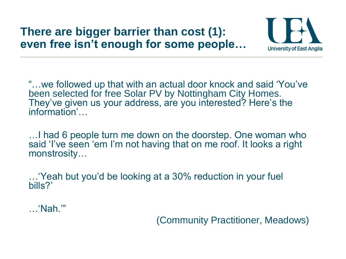### **There are bigger barrier than cost (1): even free isn't enough for some people…**



"…we followed up that with an actual door knock and said 'You've been selected for free Solar PV by Nottingham City Homes. They've given us your address, are you interested? Here's the information'…

…I had 6 people turn me down on the doorstep. One woman who said 'I've seen 'em I'm not having that on me roof. It looks a right monstrosity…

…'Yeah but you'd be looking at a 30% reduction in your fuel bills?'

…'Nah.'"

(Community Practitioner, Meadows)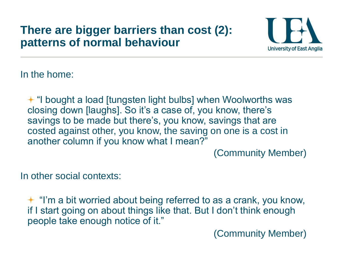### **There are bigger barriers than cost (2): patterns of normal behaviour**



In the home:

**+ "I bought a load [tungsten light bulbs] when Woolworths was** closing down [laughs]. So it's a case of, you know, there's savings to be made but there's, you know, savings that are costed against other, you know, the saving on one is a cost in another column if you know what I mean?"

(Community Member)

In other social contexts:

 $+$  "I'm a bit worried about being referred to as a crank, you know, if I start going on about things like that. But I don't think enough people take enough notice of it."

(Community Member)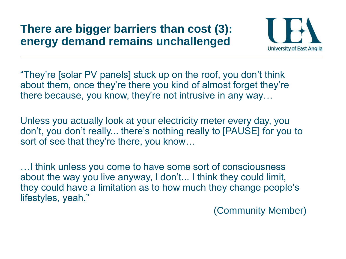### **There are bigger barriers than cost (3): energy demand remains unchallenged**



"They're [solar PV panels] stuck up on the roof, you don't think about them, once they're there you kind of almost forget they're there because, you know, they're not intrusive in any way…

Unless you actually look at your electricity meter every day, you don't, you don't really... there's nothing really to [PAUSE] for you to sort of see that they're there, you know…

…I think unless you come to have some sort of consciousness about the way you live anyway, I don't... I think they could limit, they could have a limitation as to how much they change people's lifestyles, yeah."

(Community Member)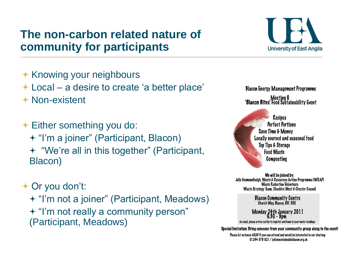### **The non-carbon related nature of community for participants**

- Knowing your neighbours Local – a desire to create 'a better place'
- Non-existent
- $+$  **Either something you do:** + "I'm a joiner" (Participant, Blacon) "We're all in this together" (Participant, Blacon)

Or you don't:

+ "I'm not a joiner" (Participant, Meadows) + "I'm not really a community person" (Participant, Meadows)



**Blacon Energy Management Programme** Meeting 6<br>'Blacon Bites' Food Sustainability Event'

Recipes **Perfect Portions** Save Time & Money Locally sourced and seasonal food Top Tips & Storage **Food Waste** Composting

We will be joined by: Julie Hesmondhalgh, Waste & Resources Action Programme (WRAP) **Waste Reduction Volunteers** Waste Strategy Team, Cheshire West & Chester Council

Blacon Community Centre<br>Church Way, Blacon, CHI 5HS

Monday 24th January 2011

As usual, please arrive earlier to register and hand in your meter readings

Special Invitation: Bring someone from your community group along to the event!

Please let us know ASAP if you can attend and would be interested in car sharing: 01244 379 021 / julie@sustainableblacon.org.uk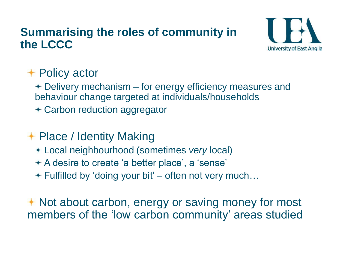### **Summarising the roles of community in the LCCC**



### **+ Policy actor**

Delivery mechanism – for energy efficiency measures and behaviour change targeted at individuals/households

Carbon reduction aggregator

### **+ Place / Identity Making**

- Local neighbourhood (sometimes *very* local)
- A desire to create 'a better place', a 'sense'
- $+$  Fulfilled by 'doing your bit' often not very much...

**← Not about carbon, energy or saving money for most** members of the 'low carbon community' areas studied